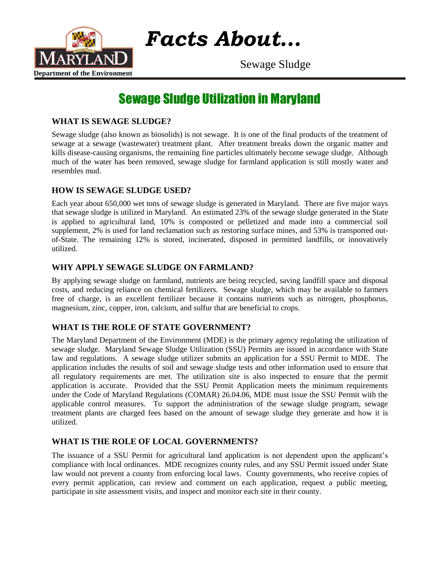

*Facts About…*

Sewage Sludge

# Sewage Sludge Utilization in Maryland

## **WHAT IS SEWAGE SLUDGE?**

Sewage sludge (also known as biosolids) is not sewage. It is one of the final products of the treatment of sewage at a sewage (wastewater) treatment plant. After treatment breaks down the organic matter and kills disease-causing organisms, the remaining fine particles ultimately become sewage sludge. Although much of the water has been removed, sewage sludge for farmland application is still mostly water and resembles mud.

## **HOW IS SEWAGE SLUDGE USED?**

Each year about 650,000 wet tons of sewage sludge is generated in Maryland. There are five major ways that sewage sludge is utilized in Maryland. An estimated 23% of the sewage sludge generated in the State is applied to agricultural land, 10% is composted or pelletized and made into a commercial soil supplement, 2% is used for land reclamation such as restoring surface mines, and 53% is transported outof-State. The remaining 12% is stored, incinerated, disposed in permitted landfills, or innovatively utilized.

## **WHY APPLY SEWAGE SLUDGE ON FARMLAND?**

By applying sewage sludge on farmland, nutrients are being recycled, saving landfill space and disposal costs, and reducing reliance on chemical fertilizers. Sewage sludge, which may be available to farmers free of charge, is an excellent fertilizer because it contains nutrients such as nitrogen, phosphorus, magnesium, zinc, copper, iron, calcium, and sulfur that are beneficial to crops.

## **WHAT IS THE ROLE OF STATE GOVERNMENT?**

The Maryland Department of the Environment (MDE) is the primary agency regulating the utilization of sewage sludge. Maryland Sewage Sludge Utilization (SSU) Permits are issued in accordance with State law and regulations. A sewage sludge utilizer submits an application for a SSU Permit to MDE. The application includes the results of soil and sewage sludge tests and other information used to ensure that all regulatory requirements are met. The utilization site is also inspected to ensure that the permit application is accurate. Provided that the SSU Permit Application meets the minimum requirements under the Code of Maryland Regulations (COMAR) 26.04.06, MDE must issue the SSU Permit with the applicable control measures. To support the administration of the sewage sludge program, sewage treatment plants are charged fees based on the amount of sewage sludge they generate and how it is utilized.

#### **WHAT IS THE ROLE OF LOCAL GOVERNMENTS?**

The issuance of a SSU Permit for agricultural land application is not dependent upon the applicant's compliance with local ordinances. MDE recognizes county rules, and any SSU Permit issued under State law would not prevent a county from enforcing local laws. County governments, who receive copies of every permit application, can review and comment on each application, request a public meeting, participate in site assessment visits, and inspect and monitor each site in their county.